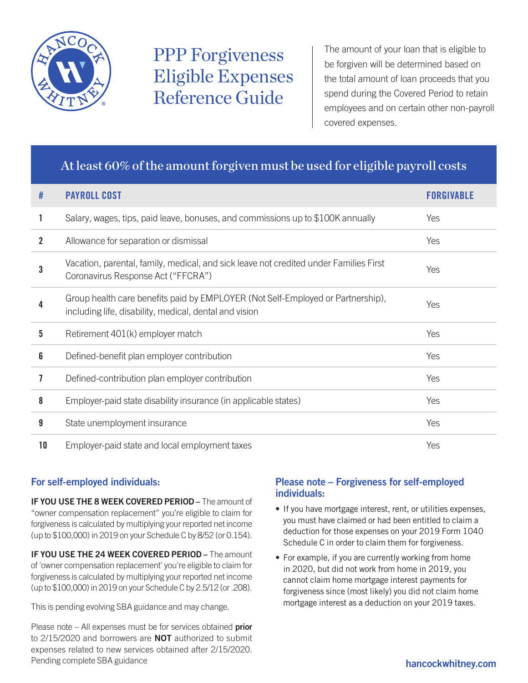

# PPP Forgiveness Eligible Expenses Reference Guide

The amount of your loan that is eligible to be forgiven will be determined based on the total amount of loan proceeds that you spend during the Covered Period to retain employees and on certain other non-payroll covered expenses.

## At least 60% of the amount forgiven must be used for eligible payroll costs

| #           | <b>PAYROLL COST</b>                                                                                                                       | <b>FORGIVARI F</b> |
|-------------|-------------------------------------------------------------------------------------------------------------------------------------------|--------------------|
| 1           | Salary, wages, tips, paid leave, bonuses, and commissions up to \$100K annually                                                           | Yes                |
| $\mathbf 2$ | Allowance for separation or dismissal                                                                                                     | Yes                |
| 3           | Vacation, parental, family, medical, and sick leave not credited under Families First<br>Coronavirus Response Act ("FFCRA")               | Yes                |
| 4           | Group health care benefits paid by EMPLOYER (Not Self-Employed or Partnership),<br>including life, disability, medical, dental and vision | Yes                |
| 5           | Retirement 401(k) employer match                                                                                                          | Yes                |
| 6           | Defined-benefit plan employer contribution                                                                                                | Yes                |
| 7           | Defined-contribution plan employer contribution                                                                                           | Yes                |
| 8           | Employer-paid state disability insurance (in applicable states)                                                                           | Yes                |
| 9           | State unemployment insurance                                                                                                              | Yes                |
| 10          | Employer-paid state and local employment taxes                                                                                            | Yes                |

### For self-employed individuals:

IF YOU USE THE 8 WEEK COVERED PERIOD – The amount of "owner compensation replacement" you're eligible to claim for forgiveness is calculated by multiplying your reported net income (up to \$100,000) in 2019 on your Schedule C by 8/52 (or 0.154).

IF YOU USE THE 24 WEEK COVERED PERIOD - The amount of 'owner compensation replacement' you're eligible to claim for forgiveness is calculated by multiplying your reported net income (up to \$100,000) in 2019 on your Schedule C by 2.5/12 (or .208).

This is pending evolving SBA guidance and may change.

Please note – All expenses must be for services obtained prior to 2/15/2020 and borrowers are **NOT** authorized to submit expenses related to new services obtained after 2/15/2020. Pending complete SBA guidance hand complete SBA guidance

#### Please note – Forgiveness for self-employed individuals:

- If you have mortgage interest, rent, or utilities expenses, you must have claimed or had been entitled to claim a deduction for those expenses on your 2019 Form 1040 Schedule C in order to claim them for forgiveness.
- For example, if you are currently working from home in 2020, but did not work from home in 2019, you cannot claim home mortgage interest payments for forgiveness since (most likely) you did not claim home mortgage interest as a deduction on your 2019 taxes.